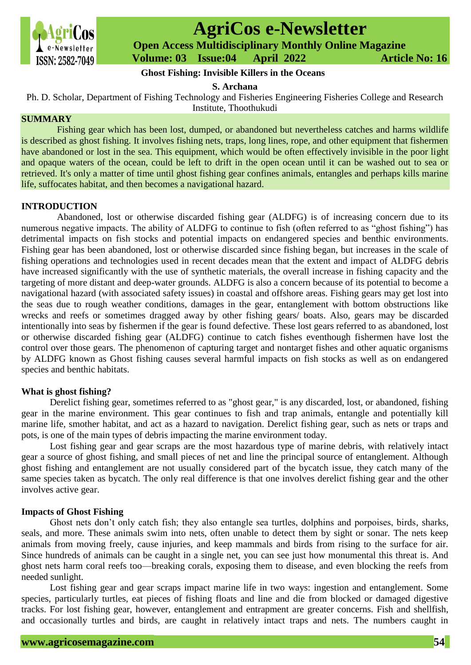

# **AgriCos e-Newsletter**

 **Open Access Multidisciplinary Monthly Online Magazine**

 **ISSN: 2582-7049 Volume: 03 Issue:04 April 2022 Article No: 16** 

# **Ghost Fishing: Invisible Killers in the Oceans**

**S. Archana**

Ph. D. Scholar, Department of Fishing Technology and Fisheries Engineering Fisheries College and Research Institute, Thoothukudi

# **SUMMARY**

Fishing gear which has been lost, dumped, or abandoned but nevertheless catches and harms wildlife is described as ghost fishing. It involves fishing nets, traps, long lines, rope, and other equipment that fishermen have abandoned or lost in the sea. This equipment, which would be often effectively invisible in the poor light and opaque waters of the ocean, could be left to drift in the open ocean until it can be washed out to sea or retrieved. It's only a matter of time until ghost fishing gear confines animals, entangles and perhaps kills marine life, suffocates habitat, and then becomes a navigational hazard.

# **INTRODUCTION**

Abandoned, lost or otherwise discarded fishing gear (ALDFG) is of increasing concern due to its numerous negative impacts. The ability of ALDFG to continue to fish (often referred to as "ghost fishing") has detrimental impacts on fish stocks and potential impacts on endangered species and benthic environments. Fishing gear has been abandoned, lost or otherwise discarded since fishing began, but increases in the scale of fishing operations and technologies used in recent decades mean that the extent and impact of ALDFG debris have increased significantly with the use of synthetic materials, the overall increase in fishing capacity and the targeting of more distant and deep-water grounds. ALDFG is also a concern because of its potential to become a navigational hazard (with associated safety issues) in coastal and offshore areas. Fishing gears may get lost into the seas due to rough weather conditions, damages in the gear, entanglement with bottom obstructions like wrecks and reefs or sometimes dragged away by other fishing gears/ boats. Also, gears may be discarded intentionally into seas by fishermen if the gear is found defective. These lost gears referred to as abandoned, lost or otherwise discarded fishing gear (ALDFG) continue to catch fishes eventhough fishermen have lost the control over those gears. The phenomenon of capturing target and nontarget fishes and other aquatic organisms by ALDFG known as Ghost fishing causes several harmful impacts on fish stocks as well as on endangered species and benthic habitats.

# **What is ghost fishing?**

Derelict fishing gear, sometimes referred to as "ghost gear," is any discarded, lost, or abandoned, fishing gear in the marine environment. This gear continues to fish and trap animals, entangle and potentially kill marine life, smother habitat, and act as a hazard to navigation. Derelict fishing gear, such as nets or traps and pots, is one of the main types of debris impacting the marine environment today.

Lost fishing gear and gear scraps are the most hazardous type of marine debris, with relatively intact gear a source of ghost fishing, and small pieces of net and line the principal source of entanglement. Although ghost fishing and entanglement are not usually considered part of the bycatch issue, they catch many of the same species taken as bycatch. The only real difference is that one involves derelict fishing gear and the other involves active gear.

### **Impacts of Ghost Fishing**

Ghost nets don't only catch fish; they also entangle sea turtles, dolphins and porpoises, birds, sharks, seals, and more. These animals swim into nets, often unable to detect them by sight or sonar. The nets keep animals from moving freely, cause injuries, and keep mammals and birds from rising to the surface for air. Since hundreds of animals can be caught in a single net, you can see just how monumental this threat is. And ghost nets harm coral reefs too—breaking corals, exposing them to disease, and even blocking the reefs from needed sunlight.

Lost fishing gear and gear scraps impact marine life in two ways: ingestion and entanglement. Some species, particularly turtles, eat pieces of fishing floats and line and die from blocked or damaged digestive tracks. For lost fishing gear, however, entanglement and entrapment are greater concerns. Fish and shellfish, and occasionally turtles and birds, are caught in relatively intact traps and nets. The numbers caught in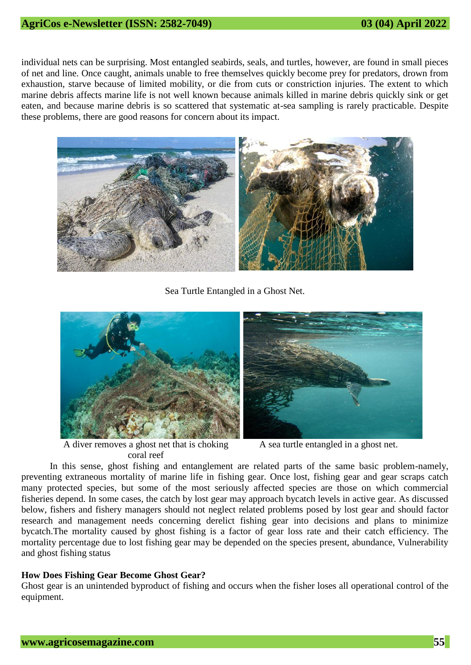individual nets can be surprising. Most entangled seabirds, seals, and turtles, however, are found in small pieces of net and line. Once caught, animals unable to free themselves quickly become prey for predators, drown from exhaustion, starve because of limited mobility, or die from cuts or constriction injuries. The extent to which marine debris affects marine life is not well known because animals killed in marine debris quickly sink or get eaten, and because marine debris is so scattered that systematic at-sea sampling is rarely practicable. Despite these problems, there are good reasons for concern about its impact.



Sea Turtle Entangled in a Ghost Net.



A diver removes a ghost net that is choking coral reef

A sea turtle entangled in a ghost net.

In this sense, ghost fishing and entanglement are related parts of the same basic problem-namely, preventing extraneous mortality of marine life in fishing gear. Once lost, fishing gear and gear scraps catch many protected species, but some of the most seriously affected species are those on which commercial fisheries depend. In some cases, the catch by lost gear may approach bycatch levels in active gear. As discussed below, fishers and fishery managers should not neglect related problems posed by lost gear and should factor research and management needs concerning derelict fishing gear into decisions and plans to minimize bycatch.The mortality caused by ghost fishing is a factor of gear loss rate and their catch efficiency. The mortality percentage due to lost fishing gear may be depended on the species present, abundance, Vulnerability and ghost fishing status

# **How Does Fishing Gear Become Ghost Gear?**

Ghost gear is an unintended byproduct of fishing and occurs when the fisher loses all operational control of the equipment.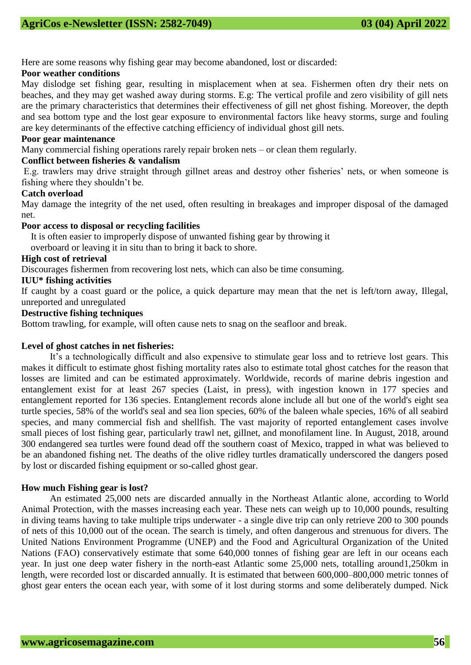Here are some reasons why fishing gear may become abandoned, lost or discarded:

# **Poor weather conditions**

May dislodge set fishing gear, resulting in misplacement when at sea. Fishermen often dry their nets on beaches, and they may get washed away during storms. E.g: The vertical profile and zero visibility of gill nets are the primary characteristics that determines their effectiveness of gill net ghost fishing. Moreover, the depth and sea bottom type and the lost gear exposure to environmental factors like heavy storms, surge and fouling are key determinants of the effective catching efficiency of individual ghost gill nets.

# **Poor gear maintenance**

Many commercial fishing operations rarely repair broken nets – or clean them regularly.

# **Conflict between fisheries & vandalism**

E.g. trawlers may drive straight through gillnet areas and destroy other fisheries' nets, or when someone is fishing where they shouldn't be.

# **Catch overload**

May damage the integrity of the net used, often resulting in breakages and improper disposal of the damaged net.

# **Poor access to disposal or recycling facilities**

It is often easier to improperly dispose of unwanted fishing gear by throwing it

overboard or leaving it in situ than to bring it back to shore.

# **High cost of retrieval**

Discourages fishermen from recovering lost nets, which can also be time consuming.

# **IUU\* fishing activities**

If caught by a coast guard or the police, a quick departure may mean that the net is left/torn away, Illegal, unreported and unregulated

# **Destructive fishing techniques**

Bottom trawling, for example, will often cause nets to snag on the seafloor and break.

# **Level of ghost catches in net fisheries:**

It's a technologically difficult and also expensive to stimulate gear loss and to retrieve lost gears. This makes it difficult to estimate ghost fishing mortality rates also to estimate total ghost catches for the reason that losses are limited and can be estimated approximately. Worldwide, records of marine debris ingestion and entanglement exist for at least 267 species (Laist, in press), with ingestion known in 177 species and entanglement reported for 136 species. Entanglement records alone include all but one of the world's eight sea turtle species, 58% of the world's seal and sea lion species, 60% of the baleen whale species, 16% of all seabird species, and many commercial fish and shellfish. The vast majority of reported entanglement cases involve small pieces of lost fishing gear, particularly trawl net, gillnet, and monofilament line. In August, 2018, around 300 endangered sea turtles were found dead off the southern coast of Mexico, trapped in what was believed to be an abandoned fishing net. The deaths of the olive ridley turtles dramatically underscored the dangers posed by lost or discarded fishing equipment or so-called ghost gear.

### **How much Fishing gear is lost?**

An estimated 25,000 nets are discarded annually in the Northeast Atlantic alone, according to [World](https://www.worldanimalprotection.org/sites/default/files/int_files/sea-change-campaign-tackling-ghost-fishing-gear_0.pdf)  [Animal Protection,](https://www.worldanimalprotection.org/sites/default/files/int_files/sea-change-campaign-tackling-ghost-fishing-gear_0.pdf) with the masses increasing each year. These nets can weigh up to 10,000 pounds, resulting in diving teams having to take multiple trips underwater - a single dive trip can only retrieve 200 to 300 pounds of nets of this 10,000 out of the ocean. The search is timely, and often dangerous and strenuous for divers. The United Nations Environment Programme (UNEP) and the Food and Agricultural Organization of the United Nations (FAO) conservatively estimate that some 640,000 tonnes of fishing gear are left in our oceans each year. In just one deep water fishery in the north-east Atlantic some 25,000 nets, totalling around1,250km in length, were recorded lost or discarded annually. It is estimated that between 600,000–800,000 metric tonnes of ghost gear enters the ocean each year, with some of it lost during storms and some deliberately dumped. Nick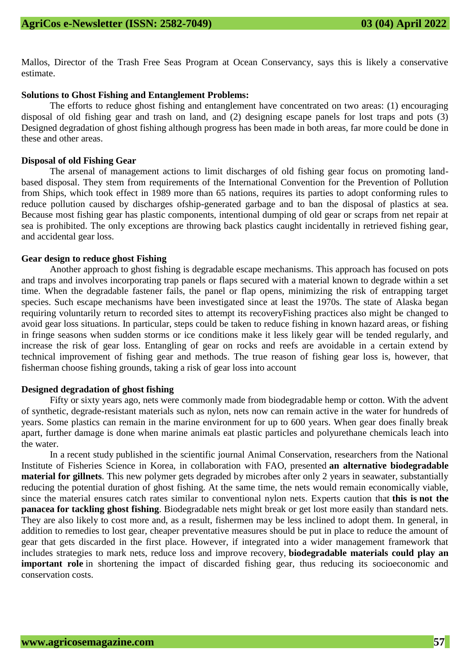Mallos, Director of the Trash Free Seas Program at Ocean Conservancy, says this is likely a conservative estimate.

# **Solutions to Ghost Fishing and Entanglement Problems:**

The efforts to reduce ghost fishing and entanglement have concentrated on two areas: (1) encouraging disposal of old fishing gear and trash on land, and (2) designing escape panels for lost traps and pots (3) Designed degradation of ghost fishing although progress has been made in both areas, far more could be done in these and other areas.

# **Disposal of old Fishing Gear**

The arsenal of management actions to limit discharges of old fishing gear focus on promoting landbased disposal. They stem from requirements of the International Convention for the Prevention of Pollution from Ships, which took effect in 1989 more than 65 nations, requires its parties to adopt conforming rules to reduce pollution caused by discharges ofship-generated garbage and to ban the disposal of plastics at sea. Because most fishing gear has plastic components, intentional dumping of old gear or scraps from net repair at sea is prohibited. The only exceptions are throwing back plastics caught incidentally in retrieved fishing gear, and accidental gear loss.

#### **Gear design to reduce ghost Fishing**

Another approach to ghost fishing is degradable escape mechanisms. This approach has focused on pots and traps and involves incorporating trap panels or flaps secured with a material known to degrade within a set time. When the degradable fastener fails, the panel or flap opens, minimizing the risk of entrapping target species. Such escape mechanisms have been investigated since at least the 1970s. The state of Alaska began requiring voluntarily return to recorded sites to attempt its recoveryFishing practices also might be changed to avoid gear loss situations. In particular, steps could be taken to reduce fishing in known hazard areas, or fishing in fringe seasons when sudden storms or ice conditions make it less likely gear will be tended regularly, and increase the risk of gear loss. Entangling of gear on rocks and reefs are avoidable in a certain extend by technical improvement of fishing gear and methods. The true reason of fishing gear loss is, however, that fisherman choose fishing grounds, taking a risk of gear loss into account

#### **Designed degradation of ghost fishing**

Fifty or sixty years ago, nets were commonly made from biodegradable hemp or cotton. With the advent of synthetic, degrade-resistant materials such as nylon, nets now can remain active in the water for hundreds of years. Some plastics can remain in the marine environment for up to 600 years. When gear does finally break apart, further damage is done when marine animals eat plastic particles and polyurethane chemicals leach into the water.

In a [recent](http://onlinelibrary.wiley.com/doi/10.1111/acv.12256/abstract) study published in the scientific journal Animal Conservation, researchers from the National Institute of Fisheries Science in Korea, in collaboration with FAO, presented **an alternative biodegradable material for gillnets**. This new polymer gets degraded by microbes after only 2 years in seawater, substantially reducing the potential duration of ghost fishing. At the same time, the nets would remain economically viable, since the material ensures catch rates similar to conventional nylon nets. Experts caution that **this is [not](http://onlinelibrary.wiley.com/doi/10.1111/acv.12300/abstract) the [panacea](http://onlinelibrary.wiley.com/doi/10.1111/acv.12300/abstract) for tackling ghost fishing**. Biodegradable nets might break or get lost more easily than standard nets. They are also likely to cost more and, as a result, fishermen may be less inclined to adopt them. In general, in addition to remedies to lost gear, cheaper preventative measures should be put in place to reduce the amount of gear that gets discarded in the first place. However, if integrated into a wider management framework that includes strategies to mark nets, reduce loss and improve recovery, **biodegradable materials could play an important role** in shortening the impact of discarded fishing gear, thus reducing its socioeconomic and conservation costs.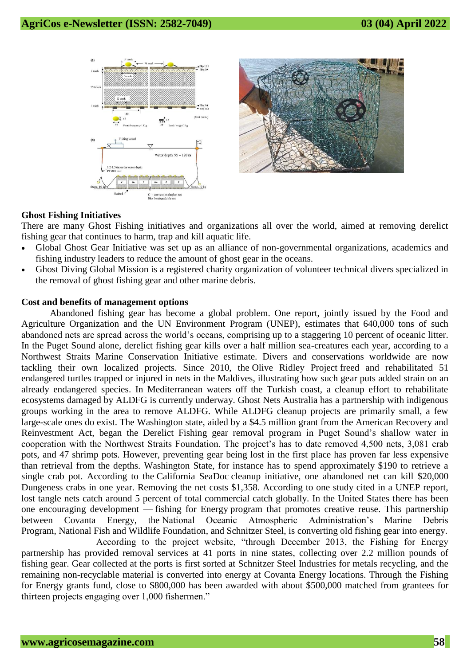



# **Ghost Fishing Initiatives**

There are many Ghost Fishing initiatives and organizations all over the world, aimed at removing derelict fishing gear that continues to harm, trap and kill aquatic life.

- Global Ghost Gear Initiative was set up as an alliance of non-governmental organizations, academics and fishing industry leaders to reduce the amount of ghost gear in the oceans.
- Ghost Diving Global Mission is a registered charity organization of volunteer technical divers specialized in the removal of ghost fishing gear and other marine debris.

#### **Cost and benefits of management options**

Abandoned fishing gear has become a global problem. One report, jointly issued by the Food and Agriculture Organization and the UN Environment Program (UNEP), estimates that 640,000 tons of such abandoned nets are spread across the world's oceans, comprising up to a staggering 10 percent of oceanic litter. In the Puget Sound alone, derelict fishing gear kills over a half million sea-creatures each year, according to a Northwest Straits Marine Conservation Initiative estimate. Divers and conservations worldwide are now tackling their own localized projects. Since 2010, the [Olive Ridley Project](http://www.oliveridleyproject.com/) freed and rehabilitated 51 endangered turtles trapped or injured in nets in the Maldives, illustrating how such gear puts added strain on an already endangered species. In Mediterranean waters off the Turkish coast, a cleanup effort to rehabilitate ecosystems damaged by ALDFG is currently underway. Ghost Nets Australia has a partnership with indigenous groups working in the area to remove ALDFG. While ALDFG cleanup projects are primarily small, a few large-scale ones do exist. The Washington state, aided by a \$4.5 million grant from the American Recovery and Reinvestment Act, began the Derelict Fishing gear removal program in Puget Sound's shallow water in cooperation with the Northwest Straits Foundation. The project's has to date removed 4,500 nets, 3,081 crab pots, and 47 shrimp pots. However, preventing gear being lost in the first place has proven far less expensive than retrieval from the depths. Washington State, for instance has to spend approximately \$190 to retrieve a single crab pot. According to the [California SeaDoc](http://www.seadocsociety.org/california-lost-fishing-gear-removal-project/) cleanup initiative, one abandoned net can kill \$20,000 Dungeness crabs in one year. Removing the net costs \$1,358. According to one study cited in a UNEP report, lost tangle nets catch around 5 percent of total commercial catch globally. In the United States there has been one encouraging development — [fishing for Energy](http://www.nfwf.org/fishingforenergy/Pages/home.aspx) program that promotes creative reuse. This partnership between Covanta Energy, the [National Oceanic Atmospheric Administration's Marine Debris](http://marinedebris.noaa.gov/welcome.html)  [Program,](http://marinedebris.noaa.gov/welcome.html) [National Fish and Wildlife Foundation,](http://www.nfwf.org/) and Schnitzer Steel, is converting old fishing gear into energy.

According to the project website, "through December 2013, the Fishing for Energy partnership has provided removal services at 41 ports in nine states, collecting over 2.2 million pounds of fishing gear. Gear collected at the ports is first sorted at Schnitzer Steel Industries for metals recycling, and the remaining non-recyclable material is converted into energy at Covanta Energy locations. Through the Fishing for Energy grants fund, close to \$800,000 has been awarded with about \$500,000 matched from grantees for thirteen projects engaging over 1,000 fishermen."